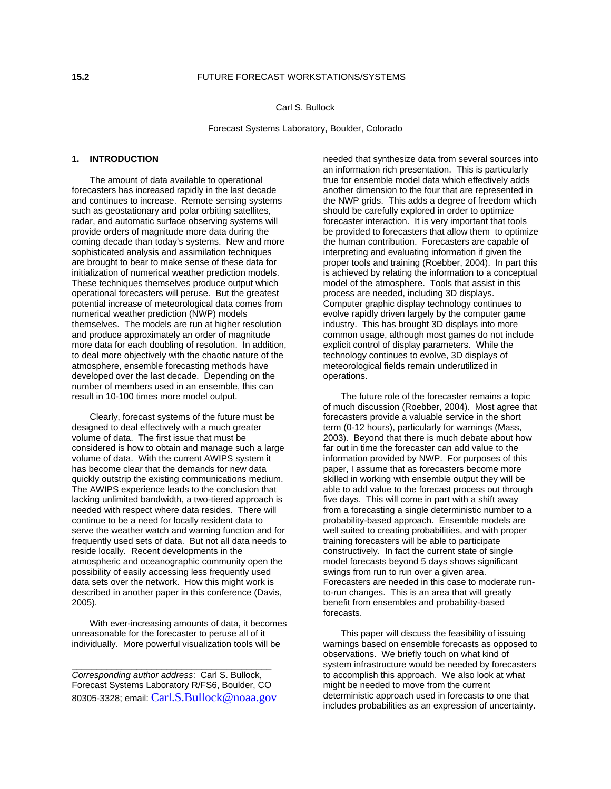# **15.2** FUTURE FORECAST WORKSTATIONS/SYSTEMS

Carl S. Bullock

Forecast Systems Laboratory, Boulder, Colorado

### **1. INTRODUCTION**

The amount of data available to operational forecasters has increased rapidly in the last decade and continues to increase. Remote sensing systems such as geostationary and polar orbiting satellites, radar, and automatic surface observing systems will provide orders of magnitude more data during the coming decade than today's systems. New and more sophisticated analysis and assimilation techniques are brought to bear to make sense of these data for initialization of numerical weather prediction models. These techniques themselves produce output which operational forecasters will peruse. But the greatest potential increase of meteorological data comes from numerical weather prediction (NWP) models themselves. The models are run at higher resolution and produce approximately an order of magnitude more data for each doubling of resolution. In addition, to deal more objectively with the chaotic nature of the atmosphere, ensemble forecasting methods have developed over the last decade. Depending on the number of members used in an ensemble, this can result in 10-100 times more model output.

Clearly, forecast systems of the future must be designed to deal effectively with a much greater volume of data. The first issue that must be considered is how to obtain and manage such a large volume of data. With the current AWIPS system it has become clear that the demands for new data quickly outstrip the existing communications medium. The AWIPS experience leads to the conclusion that lacking unlimited bandwidth, a two-tiered approach is needed with respect where data resides. There will continue to be a need for locally resident data to serve the weather watch and warning function and for frequently used sets of data. But not all data needs to reside locally. Recent developments in the atmospheric and oceanographic community open the possibility of easily accessing less frequently used data sets over the network. How this might work is described in another paper in this conference (Davis, 2005).

With ever-increasing amounts of data, it becomes unreasonable for the forecaster to peruse all of it individually. More powerful visualization tools will be

*Corresponding author address*: Carl S. Bullock, Forecast Systems Laboratory R/FS6, Boulder, CO 80305-3328; email: [Carl.S.Bullock@noaa.gov](mailto:Carl.S.Bullock@noaa.gov)

\_\_\_\_\_\_\_\_\_\_\_\_\_\_\_\_\_\_\_\_\_\_\_\_\_\_\_\_\_\_\_\_\_\_\_\_\_\_\_\_

needed that synthesize data from several sources into an information rich presentation. This is particularly true for ensemble model data which effectively adds another dimension to the four that are represented in the NWP grids. This adds a degree of freedom which should be carefully explored in order to optimize forecaster interaction. It is very important that tools be provided to forecasters that allow them to optimize the human contribution. Forecasters are capable of interpreting and evaluating information if given the proper tools and training (Roebber, 2004). In part this is achieved by relating the information to a conceptual model of the atmosphere. Tools that assist in this process are needed, including 3D displays. Computer graphic display technology continues to evolve rapidly driven largely by the computer game industry. This has brought 3D displays into more common usage, although most games do not include explicit control of display parameters. While the technology continues to evolve, 3D displays of meteorological fields remain underutilized in operations.

The future role of the forecaster remains a topic of much discussion (Roebber, 2004). Most agree that forecasters provide a valuable service in the short term (0-12 hours), particularly for warnings (Mass, 2003). Beyond that there is much debate about how far out in time the forecaster can add value to the information provided by NWP. For purposes of this paper, I assume that as forecasters become more skilled in working with ensemble output they will be able to add value to the forecast process out through five days. This will come in part with a shift away from a forecasting a single deterministic number to a probability-based approach. Ensemble models are well suited to creating probabilities, and with proper training forecasters will be able to participate constructively. In fact the current state of single model forecasts beyond 5 days shows significant swings from run to run over a given area. Forecasters are needed in this case to moderate runto-run changes. This is an area that will greatly benefit from ensembles and probability-based forecasts.

This paper will discuss the feasibility of issuing warnings based on ensemble forecasts as opposed to observations. We briefly touch on what kind of system infrastructure would be needed by forecasters to accomplish this approach. We also look at what might be needed to move from the current deterministic approach used in forecasts to one that includes probabilities as an expression of uncertainty.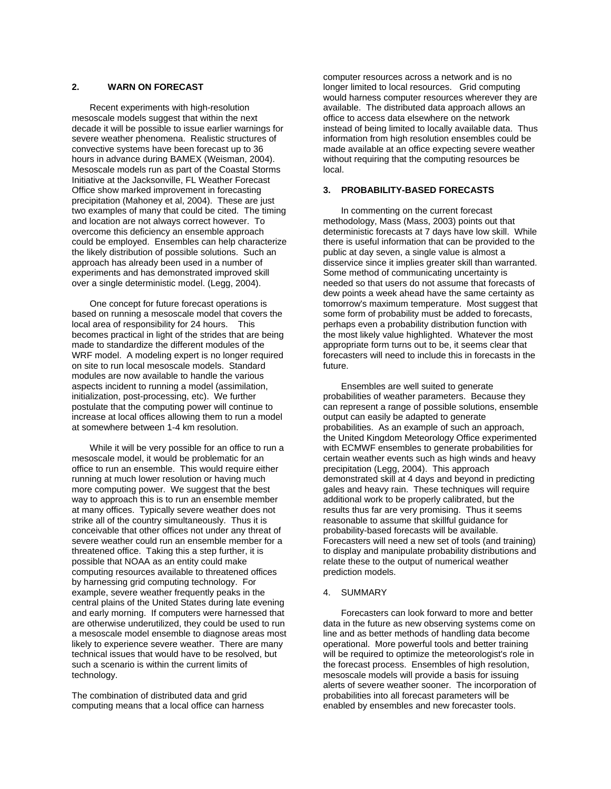### **2. WARN ON FORECAST**

Recent experiments with high-resolution mesoscale models suggest that within the next decade it will be possible to issue earlier warnings for severe weather phenomena. Realistic structures of convective systems have been forecast up to 36 hours in advance during BAMEX (Weisman, 2004). Mesoscale models run as part of the Coastal Storms Initiative at the Jacksonville, FL Weather Forecast Office show marked improvement in forecasting precipitation (Mahoney et al, 2004). These are just two examples of many that could be cited. The timing and location are not always correct however. To overcome this deficiency an ensemble approach could be employed. Ensembles can help characterize the likely distribution of possible solutions. Such an approach has already been used in a number of experiments and has demonstrated improved skill over a single deterministic model. (Legg, 2004).

One concept for future forecast operations is based on running a mesoscale model that covers the local area of responsibility for 24 hours. This becomes practical in light of the strides that are being made to standardize the different modules of the WRF model. A modeling expert is no longer required on site to run local mesoscale models. Standard modules are now available to handle the various aspects incident to running a model (assimilation, initialization, post-processing, etc). We further postulate that the computing power will continue to increase at local offices allowing them to run a model at somewhere between 1-4 km resolution.

While it will be very possible for an office to run a mesoscale model, it would be problematic for an office to run an ensemble. This would require either running at much lower resolution or having much more computing power. We suggest that the best way to approach this is to run an ensemble member at many offices. Typically severe weather does not strike all of the country simultaneously. Thus it is conceivable that other offices not under any threat of severe weather could run an ensemble member for a threatened office. Taking this a step further, it is possible that NOAA as an entity could make computing resources available to threatened offices by harnessing grid computing technology. For example, severe weather frequently peaks in the central plains of the United States during late evening and early morning. If computers were harnessed that are otherwise underutilized, they could be used to run a mesoscale model ensemble to diagnose areas most likely to experience severe weather. There are many technical issues that would have to be resolved, but such a scenario is within the current limits of technology.

The combination of distributed data and grid computing means that a local office can harness computer resources across a network and is no longer limited to local resources. Grid computing would harness computer resources wherever they are available. The distributed data approach allows an office to access data elsewhere on the network instead of being limited to locally available data. Thus information from high resolution ensembles could be made available at an office expecting severe weather without requiring that the computing resources be local.

#### **3. PROBABILITY-BASED FORECASTS**

In commenting on the current forecast methodology, Mass (Mass, 2003) points out that deterministic forecasts at 7 days have low skill. While there is useful information that can be provided to the public at day seven, a single value is almost a disservice since it implies greater skill than warranted. Some method of communicating uncertainty is needed so that users do not assume that forecasts of dew points a week ahead have the same certainty as tomorrow's maximum temperature. Most suggest that some form of probability must be added to forecasts, perhaps even a probability distribution function with the most likely value highlighted. Whatever the most appropriate form turns out to be, it seems clear that forecasters will need to include this in forecasts in the future.

Ensembles are well suited to generate probabilities of weather parameters. Because they can represent a range of possible solutions, ensemble output can easily be adapted to generate probabilities. As an example of such an approach, the United Kingdom Meteorology Office experimented with ECMWF ensembles to generate probabilities for certain weather events such as high winds and heavy precipitation (Legg, 2004). This approach demonstrated skill at 4 days and beyond in predicting gales and heavy rain. These techniques will require additional work to be properly calibrated, but the results thus far are very promising. Thus it seems reasonable to assume that skillful guidance for probability-based forecasts will be available. Forecasters will need a new set of tools (and training) to display and manipulate probability distributions and relate these to the output of numerical weather prediction models.

### 4. SUMMARY

Forecasters can look forward to more and better data in the future as new observing systems come on line and as better methods of handling data become operational. More powerful tools and better training will be required to optimize the meteorologist's role in the forecast process. Ensembles of high resolution, mesoscale models will provide a basis for issuing alerts of severe weather sooner. The incorporation of probabilities into all forecast parameters will be enabled by ensembles and new forecaster tools.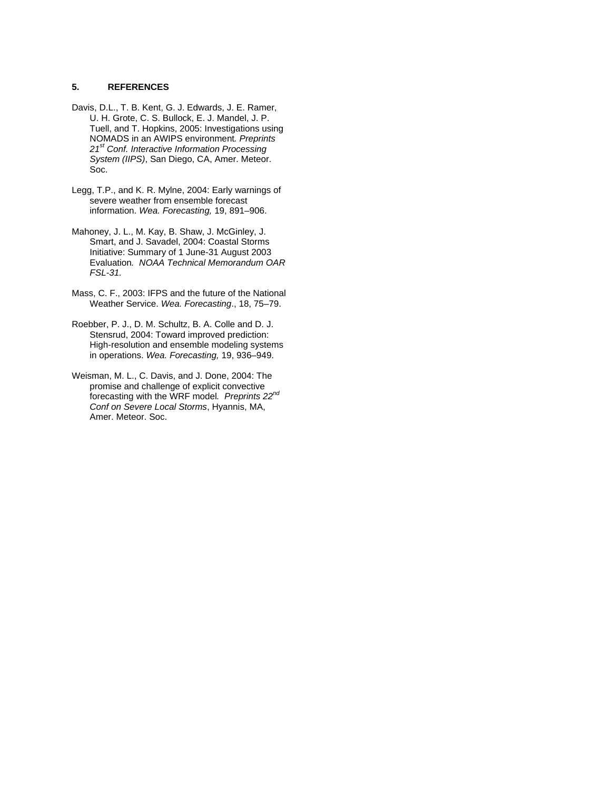## **5. REFERENCES**

- Davis, D.L., T. B. Kent, G. J. Edwards, J. E. Ramer, U. H. Grote, C. S. Bullock, E. J. Mandel, J. P. Tuell, and T. Hopkins, 2005: Investigations using NOMADS in an AWIPS environment*. Preprints 21st Conf. Interactive Information Processing System (IIPS)*, San Diego, CA, Amer. Meteor. Soc.
- Legg, T.P., and K. R. Mylne, 2004: Early warnings of severe weather from ensemble forecast information. *Wea. Forecasting,* 19, 891–906.
- Mahoney, J. L., M. Kay, B. Shaw, J. McGinley, J. Smart, and J. Savadel, 2004: Coastal Storms Initiative: Summary of 1 June-31 August 2003 Evaluation*. NOAA Technical Memorandum OAR FSL-31.*
- Mass, C. F., 2003: IFPS and the future of the National Weather Service. *Wea. Forecasting*., 18, 75–79.
- Roebber, P. J., D. M. Schultz, B. A. Colle and D. J. Stensrud, 2004: Toward improved prediction: High-resolution and ensemble modeling systems in operations. *Wea. Forecasting,* 19, 936–949.
- Weisman, M. L., C. Davis, and J. Done, 2004: The promise and challenge of explicit convective forecasting with the WRF model*. Preprints 22nd Conf on Severe Local Storms*, Hyannis, MA, Amer. Meteor. Soc.